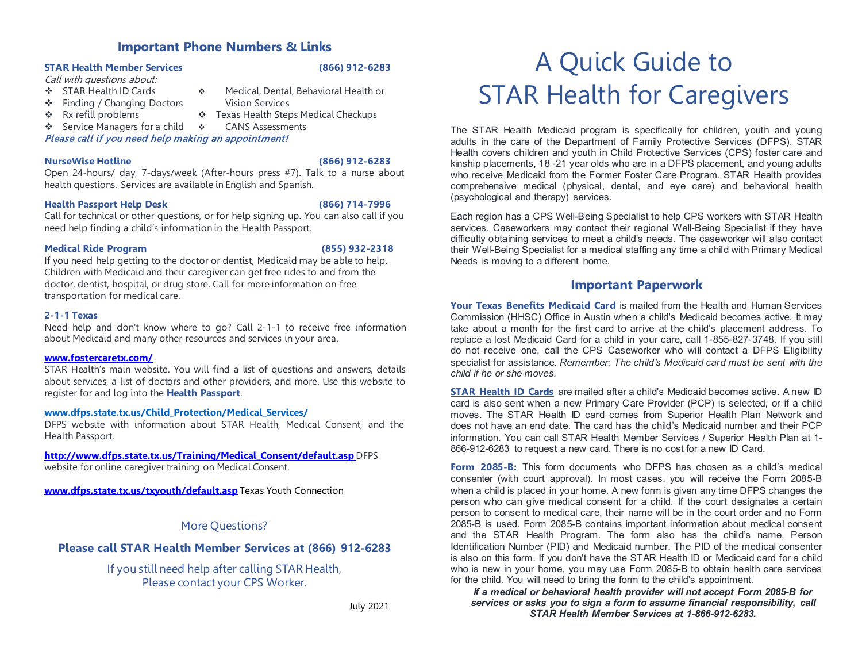# **Important Phone Numbers & Links**

# **STAR Health Member Services (866) 912-6283**

Call with questions about:

- STAR Health ID Cards Medical, Dental, Behavioral Health or
- ❖ Finding / Changing Doctors Vision Services
- 
- \* Rx refill problems \* Texas Health Steps Medical Checkups
- Service Managers for a child CANS Assessments

# Please call if you need help making an appointment!

# **NurseWise Hotline (866) 912-6283**

Open 24-hours/ day, 7-days/week (After-hours press #7). Talk to a nurse about health questions. Services are available in English and Spanish.

# **Health Passport Help Desk (866) 714-7996**

Call for technical or other questions, or for help signing up. You can also call if you need help finding a child's information in the Health Passport.

# **Medical Ride Program (855) 932-2318**

If you need help getting to the doctor or dentist, Medicaid may be able to help. Children with Medicaid and their caregiver can get free rides to and from the doctor, dentist, hospital, or drug store. Call for more information on free transportation for medical care.

# **2-1-1 Texas**

Need help and don't know where to go? Call 2-1-1 to receive free information about Medicaid and many other resources and services in your area.

### **[www.fostercaretx.com/](http://www.fostercaretx.com/)**

STAR Health's main website. You will find a list of questions and answers, details about services, a list of doctors and other providers, and more. Use this website to register for and log into the **Health Passport**.

## **[www.dfps.state.tx.us/Child\\_Protection/Medical\\_Services/](http://www.dfps.state.tx.us/Child_Protection/Medical_Services/)**

DFPS website with information about STAR Health, Medical Consent, and the Health Passport.

# **[http://www.dfps.state.tx.us/Training/Medical\\_Consent/default.asp](http://www.dfps.state.tx.us/Training/Medical_Consent/default.asp)** DFPS

website for online caregiver training on Medical Consent.

**[www.dfps.state.tx.us/txyouth/default.asp](http://www.dfps.state.tx.us/txyouth/default.asp)** Texas Youth Connection

# More Questions?

# **Please call STAR Health Member Services at (866) 912-6283**

If you still need help after calling STAR Health, Please contact your CPS Worker.

# A Quick Guide to STAR Health for Caregivers

The STAR Health Medicaid program is specifically for children, youth and young adults in the care of the Department of Family Protective Services (DFPS). STAR Health covers children and youth in Child Protective Services (CPS) foster care and kinship placements, 18 -21 year olds who are in a DFPS placement, and young adults who receive Medicaid from the Former Foster Care Program. STAR Health provides comprehensive medical (physical, dental, and eye care) and behavioral health (psychological and therapy) services.

Each region has a CPS Well-Being Specialist to help CPS workers with STAR Health services. Caseworkers may contact their regional Well-Being Specialist if they have difficulty obtaining services to meet a child's needs. The caseworker will also contact their Well-Being Specialist for a medical staffing any time a child with Primary Medical Needs is moving to a different home.

# **Important Paperwork**

**Your Texas Benefits Medicaid Card** is mailed from the Health and Human Services Commission (HHSC) Office in Austin when a child's Medicaid becomes active. It may take about a month for the first card to arrive at the child's placement address. To replace a lost Medicaid Card for a child in your care, call 1-855-827-3748. If you still do not receive one, call the CPS Caseworker who will contact a DFPS Eligibility specialist for assistance. *Remember: The child's Medicaid card must be sent with the child if he or she moves.*

**STAR Health ID Cards** are mailed after a child's Medicaid becomes active. A new ID card is also sent when a new Primary Care Provider (PCP) is selected, or if a child moves. The STAR Health ID card comes from Superior Health Plan Network and does not have an end date. The card has the child's Medicaid number and their PCP information. You can call STAR Health Member Services / Superior Health Plan at 1- 866-912-6283 to request a new card. There is no cost for a new ID Card.

**Form 2085-B:** This form documents who DFPS has chosen as a child's medical consenter (with court approval). In most cases, you will receive the Form 2085-B when a child is placed in your home. A new form is given any time DFPS changes the person who can give medical consent for a child. If the court designates a certain person to consent to medical care, their name will be in the court order and no Form 2085-B is used. Form 2085-B contains important information about medical consent and the STAR Health Program. The form also has the child's name, Person Identification Number (PID) and Medicaid number. The PID of the medical consenter is also on this form. If you don't have the STAR Health ID or Medicaid card for a child who is new in your home, you may use Form 2085-B to obtain health care services for the child. You will need to bring the form to the child's appointment.

*If a medical or behavioral health provider will not accept Form 2085-B for services or asks you to sign a form to assume financial responsibility, call STAR Health Member Services at 1-866-912-6283.*